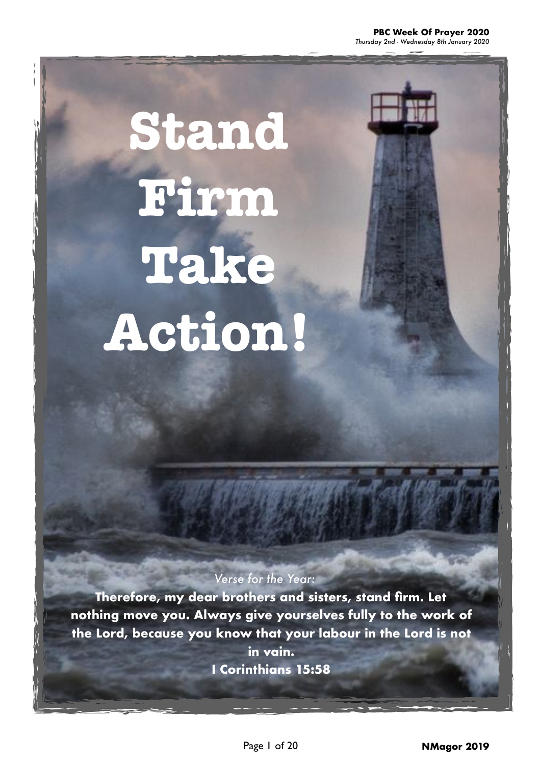*Thursday 2nd - Wednesday 8th January 2020*

**Stand Firm Take Action!** 

#### *Verse for the Year:*

**Therefore, my dear brothers and sisters, stand firm. Let nothing move you. Always give yourselves fully to the work of the Lord, because you know that your labour in the Lord is not in vain.** 

**I Corinthians 15:58**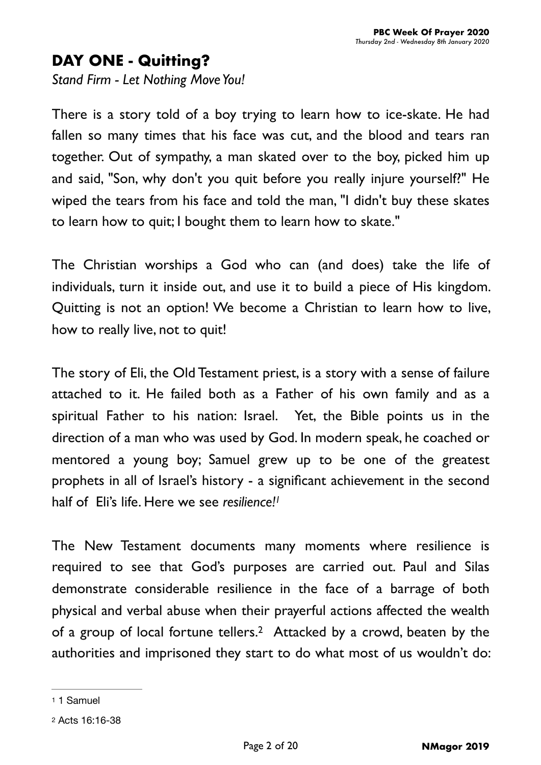## **DAY ONE - Quitting?**

*Stand Firm - Let Nothing Move You!*

There is a story told of a boy trying to learn how to ice-skate. He had fallen so many times that his face was cut, and the blood and tears ran together. Out of sympathy, a man skated over to the boy, picked him up and said, "Son, why don't you quit before you really injure yourself?" He wiped the tears from his face and told the man, "I didn't buy these skates to learn how to quit; I bought them to learn how to skate."

The Christian worships a God who can (and does) take the life of individuals, turn it inside out, and use it to build a piece of His kingdom. Quitting is not an option! We become a Christian to learn how to live, how to really live, not to quit!

The story of Eli, the Old Testament priest, is a story with a sense of failure attached to it. He failed both as a Father of his own family and as a spiritual Father to his nation: Israel. Yet, the Bible points us in the direction of a man who was used by God. In modern speak, he coached or mentored a young boy; Samuel grew up to be one of the greatest prophets in all of Israel's history - a significant achievement in the second half of Eli's life. Here we see *resilience[!1](#page-1-0)*

<span id="page-1-2"></span>The New Testament documents many moments where resilience is required to see that God's purposes are carried out. Paul and Silas demonstrate considerable resilience in the face of a barrage of both physical and verbal abuse when their prayerful actions affected the wealth of a group of local fortune tellers[.](#page-1-1)<sup>[2](#page-1-1)</sup> Attacked by a crowd, beaten by the authorities and imprisoned they start to do what most of us wouldn't do:

<span id="page-1-3"></span><span id="page-1-1"></span><span id="page-1-0"></span>[<sup>1</sup>](#page-1-2) 1 Samuel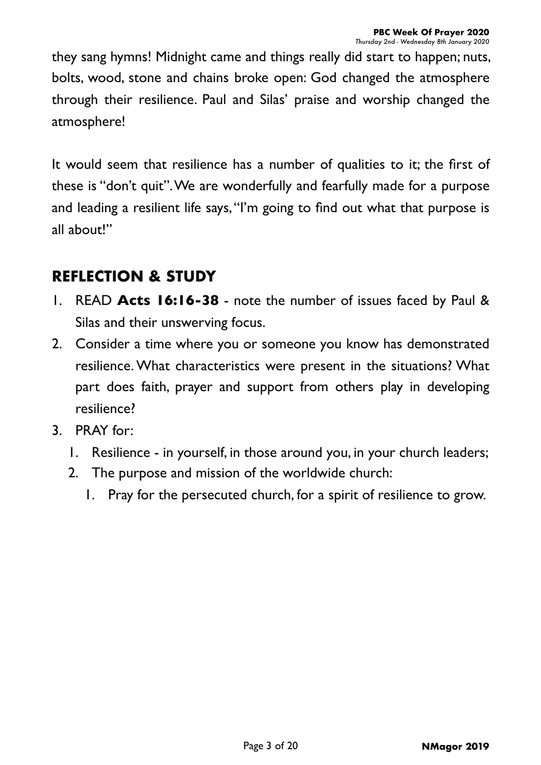they sang hymns! Midnight came and things really did start to happen; nuts, bolts, wood, stone and chains broke open: God changed the atmosphere through their resilience. Paul and Silas' praise and worship changed the atmosphere!

It would seem that resilience has a number of qualities to it; the first of these is "don't quit". We are wonderfully and fearfully made for a purpose and leading a resilient life says, "I'm going to find out what that purpose is all about!"

- 1. READ **Acts 16:16-38** note the number of issues faced by Paul & Silas and their unswerving focus.
- 2. Consider a time where you or someone you know has demonstrated resilience. What characteristics were present in the situations? What part does faith, prayer and support from others play in developing resilience?
- 3. PRAY for:
	- 1. Resilience in yourself, in those around you, in your church leaders;
	- 2. The purpose and mission of the worldwide church:
		- 1. Pray for the persecuted church, for a spirit of resilience to grow.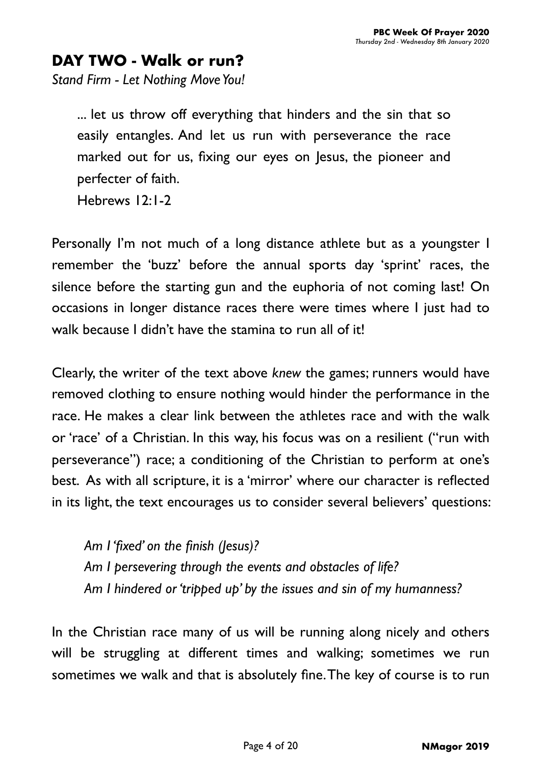## **DAY TWO - Walk or run?**

*Stand Firm - Let Nothing Move You!*

... let us throw off everything that hinders and the sin that so easily entangles. And let us run with perseverance the race marked out for us, fixing our eyes on Jesus, the pioneer and perfecter of faith. Hebrews 12:1-2

Personally I'm not much of a long distance athlete but as a youngster I remember the 'buzz' before the annual sports day 'sprint' races, the silence before the starting gun and the euphoria of not coming last! On occasions in longer distance races there were times where I just had to walk because I didn't have the stamina to run all of it!

Clearly, the writer of the text above *knew* the games; runners would have removed clothing to ensure nothing would hinder the performance in the race. He makes a clear link between the athletes race and with the walk or 'race' of a Christian. In this way, his focus was on a resilient ("run with perseverance") race; a conditioning of the Christian to perform at one's best. As with all scripture, it is a 'mirror' where our character is reflected in its light, the text encourages us to consider several believers' questions:

*Am I 'fixed' on the finish (Jesus)? Am I persevering through the events and obstacles of life? Am I hindered or 'tripped up' by the issues and sin of my humanness?* 

In the Christian race many of us will be running along nicely and others will be struggling at different times and walking; sometimes we run sometimes we walk and that is absolutely fine. The key of course is to run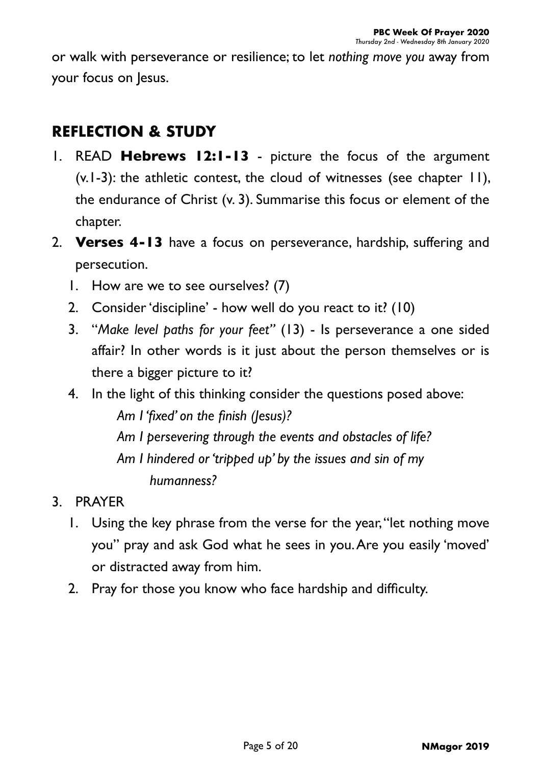or walk with perseverance or resilience; to let *nothing move you* away from your focus on Jesus.

- 1. READ **Hebrews 12:1-13** picture the focus of the argument  $(v.1-3)$ : the athletic contest, the cloud of witnesses (see chapter  $| \cdot |$ ), the endurance of Christ (v. 3). Summarise this focus or element of the chapter.
- 2. **Verses 4-13** have a focus on perseverance, hardship, suffering and persecution.
	- 1. How are we to see ourselves? (7)
	- 2. Consider 'discipline' how well do you react to it? (10)
	- 3. "*Make level paths for your feet"* (13) Is perseverance a one sided affair? In other words is it just about the person themselves or is there a bigger picture to it?
	- 4. In the light of this thinking consider the questions posed above: *Am I 'fixed' on the finish (Jesus)? Am I persevering through the events and obstacles of life? Am I hindered or 'tripped up' by the issues and sin of my humanness?*
- 3. PRAYER
	- 1. Using the key phrase from the verse for the year, "let nothing move you" pray and ask God what he sees in you. Are you easily 'moved' or distracted away from him.
	- 2. Pray for those you know who face hardship and difficulty.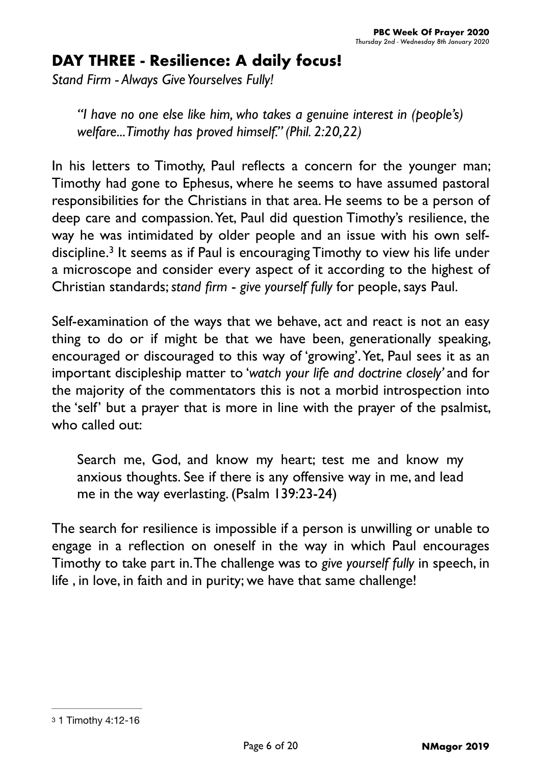# **DAY THREE - Resilience: A daily focus!**

*Stand Firm - Always Give Yourselves Fully!*

*"I have no one else like him, who takes a genuine interest in (people's) welfare... Timothy has proved himself." (Phil. 2:20,22)*

In his letters to Timothy, Paul reflects a concern for the younger man; Timothy had gone to Ephesus, where he seems to have assumed pastoral responsibilities for the Christians in that area. He seems to be a person of deep care and compassion. Yet, Paul did question Timothy's resilience, the way he was intimidated by older people and an issue with his own self-discipline.<sup>[3](#page-5-0)</sup> It seems as if Paul is encouraging Timothy to view his life under a microscope and consider every aspect of it according to the highest of Christian standards; *stand firm* - *give yourself fully* for people, says Paul.

<span id="page-5-1"></span>Self-examination of the ways that we behave, act and react is not an easy thing to do or if might be that we have been, generationally speaking, encouraged or discouraged to this way of 'growing'. Yet, Paul sees it as an important discipleship matter to '*watch your life and doctrine closely'* and for the majority of the commentators this is not a morbid introspection into the 'self' but a prayer that is more in line with the prayer of the psalmist, who called out:

Search me, God, and know my heart; test me and know my anxious thoughts. See if there is any offensive way in me, and lead me in the way everlasting. (Psalm 139:23-24)

The search for resilience is impossible if a person is unwilling or unable to engage in a reflection on oneself in the way in which Paul encourages Timothy to take part in. The challenge was to *give yourself fully* in speech, in life , in love, in faith and in purity; we have that same challenge!

<span id="page-5-0"></span>[<sup>3</sup>](#page-5-1) 1 Timothy 4:12-16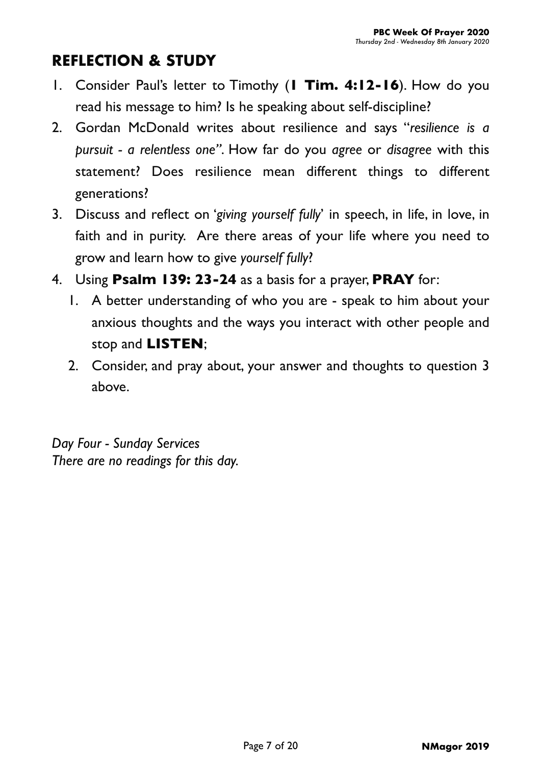## **REFLECTION & STUDY**

- 1. Consider Paul's letter to Timothy (**1 Tim. 4:12-16**). How do you read his message to him? Is he speaking about self-discipline?
- 2. Gordan McDonald writes about resilience and says "*resilience is a pursuit - a relentless one"*. How far do you *agree* or *disagree* with this statement? Does resilience mean different things to different generations?
- 3. Discuss and reflect on '*giving yourself fully*' in speech, in life, in love, in faith and in purity. Are there areas of your life where you need to grow and learn how to give *yourself fully*?
- 4. Using **Psalm 139: 23-24** as a basis for a prayer, **PRAY** for:
	- 1. A better understanding of who you are speak to him about your anxious thoughts and the ways you interact with other people and stop and **LISTEN**;
	- 2. Consider, and pray about, your answer and thoughts to question 3 above.

*Day Four - Sunday Services There are no readings for this day.*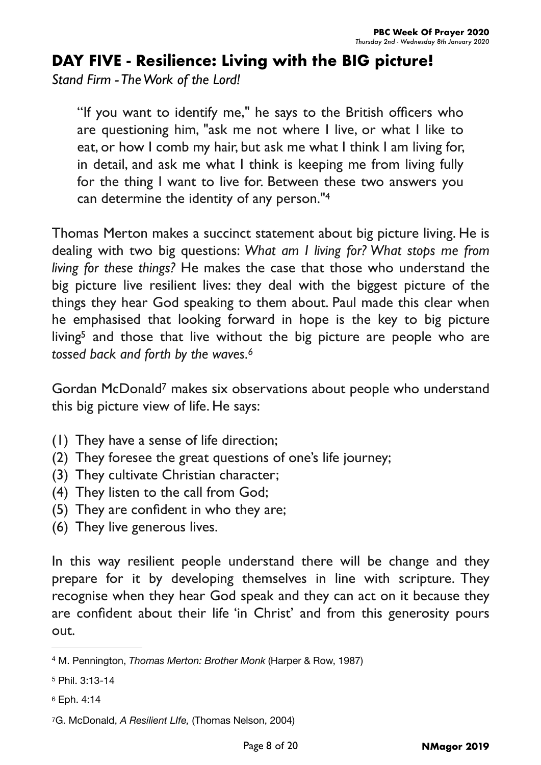## **DAY FIVE - Resilience: Living with the BIG picture!**

*Stand Firm - The Work of the Lord!*

<span id="page-7-4"></span>"If you want to identify me," he says to the British officers who are questioning him, "ask me not where I live, or what I like to eat, or how I comb my hair, but ask me what I think I am living for, in detail, and ask me what I think is keeping me from living fully for the thing I want to live for. Between these two answers you can determine the identity of any person.["4](#page-7-0)

Thomas Merton makes a succinct statement about big picture living. He is dealing with two big questions: *What am I living for? What stops me from living for these things?* He makes the case that those who understand the big picture live resilient lives: they deal with the biggest picture of the things they hear God speaking to them about. Paul made this clear when he emphasised that looking forward in hope is the key to big picture livin[g](#page-7-1)<sup>[5](#page-7-1)</sup> and those that live without the big picture are people who are *tossed back and forth by the waves[.6](#page-7-2)*

<span id="page-7-7"></span><span id="page-7-6"></span><span id="page-7-5"></span>Gor[d](#page-7-3)an McDonald<sup>[7](#page-7-3)</sup> makes six observations about people who understand this big picture view of life. He says:

- (1) They have a sense of life direction;
- (2) They foresee the great questions of one's life journey;
- (3) They cultivate Christian character;
- (4) They listen to the call from God;
- (5) They are confident in who they are;
- (6) They live generous lives.

In this way resilient people understand there will be change and they prepare for it by developing themselves in line with scripture. They recognise when they hear God speak and they can act on it because they are confident about their life 'in Christ' and from this generosity pours out.

<span id="page-7-2"></span>[6](#page-7-6) Eph. 4:14

<span id="page-7-0"></span>M. Pennington, *Thomas Merton: Brother Monk* (Harper & Row, 1987) [4](#page-7-4)

<span id="page-7-1"></span>[<sup>5</sup>](#page-7-5) Phil. 3:13-14

<span id="page-7-3"></span>[<sup>7</sup>](#page-7-7)G. McDonald, *A Resilient LIfe,* (Thomas Nelson, 2004)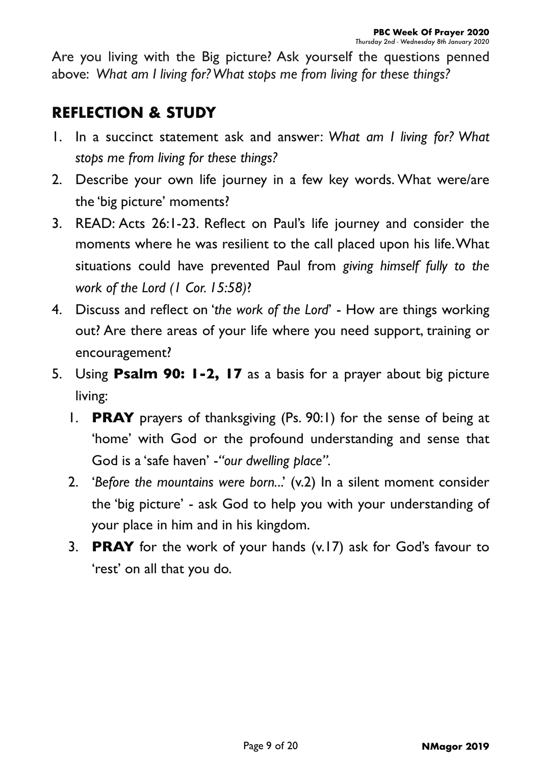Are you living with the Big picture? Ask yourself the questions penned above: *What am I living for? What stops me from living for these things?*

- 1. In a succinct statement ask and answer: *What am I living for? What stops me from living for these things?*
- 2. Describe your own life journey in a few key words. What were/are the 'big picture' moments?
- 3. READ: Acts 26:1-23. Reflect on Paul's life journey and consider the moments where he was resilient to the call placed upon his life. What situations could have prevented Paul from *giving himself fully to the work of the Lord (1 Cor. 15:58)*?
- 4. Discuss and reflect on '*the work of the Lord*' How are things working out? Are there areas of your life where you need support, training or encouragement?
- 5. Using **Psalm 90: 1-2, 17** as a basis for a prayer about big picture living:
	- 1. **PRAY** prayers of thanksgiving (Ps. 90:1) for the sense of being at 'home' with God or the profound understanding and sense that God is a 'safe haven' -*"our dwelling place".*
	- 2. 'Before the mountains were born...' (v.2) In a silent moment consider the 'big picture' - ask God to help you with your understanding of your place in him and in his kingdom.
	- 3. **PRAY** for the work of your hands (v.17) ask for God's favour to 'rest' on all that you do.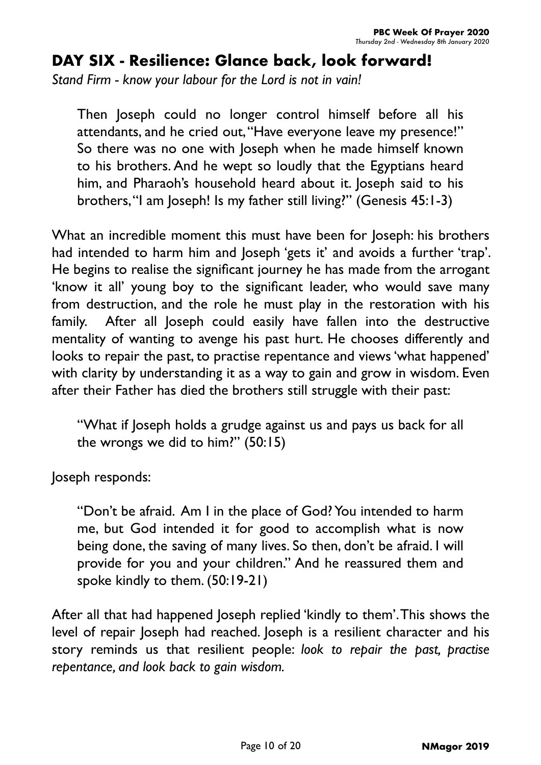# **DAY SIX - Resilience: Glance back, look forward!**

*Stand Firm - know your labour for the Lord is not in vain!*

Then Joseph could no longer control himself before all his attendants, and he cried out, "Have everyone leave my presence!" So there was no one with Joseph when he made himself known to his brothers. And he wept so loudly that the Egyptians heard him, and Pharaoh's household heard about it. Joseph said to his brothers, "I am Joseph! Is my father still living?" (Genesis 45:1-3)

What an incredible moment this must have been for Joseph: his brothers had intended to harm him and Joseph 'gets it' and avoids a further 'trap'. He begins to realise the significant journey he has made from the arrogant 'know it all' young boy to the significant leader, who would save many from destruction, and the role he must play in the restoration with his family. After all Joseph could easily have fallen into the destructive mentality of wanting to avenge his past hurt. He chooses differently and looks to repair the past, to practise repentance and views 'what happened' with clarity by understanding it as a way to gain and grow in wisdom. Even after their Father has died the brothers still struggle with their past:

"What if Joseph holds a grudge against us and pays us back for all the wrongs we did to him?" (50:15)

Joseph responds:

"Don't be afraid. Am I in the place of God? You intended to harm me, but God intended it for good to accomplish what is now being done, the saving of many lives. So then, don't be afraid. I will provide for you and your children." And he reassured them and spoke kindly to them. (50:19-21)

After all that had happened Joseph replied 'kindly to them'. This shows the level of repair Joseph had reached. Joseph is a resilient character and his story reminds us that resilient people: *look to repair the past, practise repentance, and look back to gain wisdom.*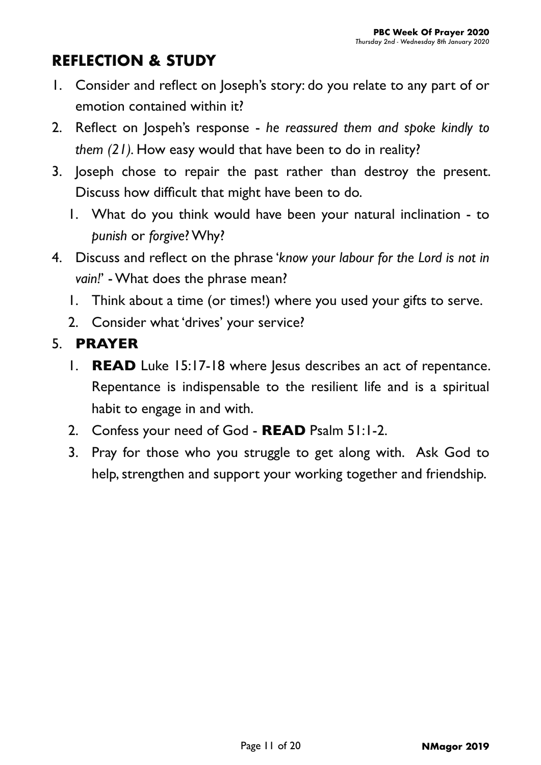# **REFLECTION & STUDY**

- 1. Consider and reflect on Joseph's story: do you relate to any part of or emotion contained within it?
- 2. Reflect on Jospeh's response *he reassured them and spoke kindly to them (21).* How easy would that have been to do in reality?
- 3. Joseph chose to repair the past rather than destroy the present. Discuss how difficult that might have been to do.
	- 1. What do you think would have been your natural inclination to *punish* or *forgive*? Why?
- 4. Discuss and reflect on the phrase '*know your labour for the Lord is not in vain!*' - What does the phrase mean?
	- 1. Think about a time (or times!) where you used your gifts to serve.
	- 2. Consider what 'drives' your service?

## 5. **PRAYER**

- 1. **READ** Luke 15:17-18 where lesus describes an act of repentance. Repentance is indispensable to the resilient life and is a spiritual habit to engage in and with.
- 2. Confess your need of God **READ** Psalm 51:1-2.
- 3. Pray for those who you struggle to get along with. Ask God to help, strengthen and support your working together and friendship.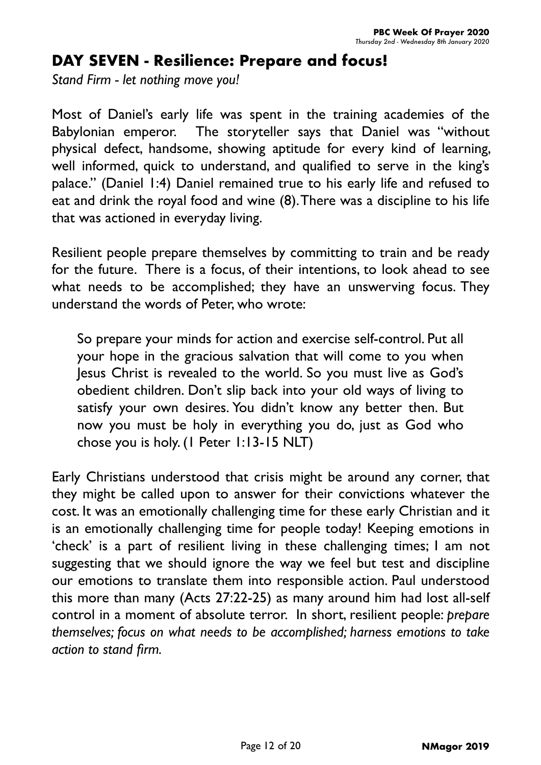#### **DAY SEVEN - Resilience: Prepare and focus!**

*Stand Firm - let nothing move you!*

Most of Daniel's early life was spent in the training academies of the Babylonian emperor. The storyteller says that Daniel was "without physical defect, handsome, showing aptitude for every kind of learning, well informed, quick to understand, and qualified to serve in the king's palace." (Daniel 1:4) Daniel remained true to his early life and refused to eat and drink the royal food and wine (8). There was a discipline to his life that was actioned in everyday living.

Resilient people prepare themselves by committing to train and be ready for the future. There is a focus, of their intentions, to look ahead to see what needs to be accomplished; they have an unswerving focus. They understand the words of Peter, who wrote:

So prepare your minds for action and exercise self-control. Put all your hope in the gracious salvation that will come to you when Jesus Christ is revealed to the world. So you must live as God's obedient children. Don't slip back into your old ways of living to satisfy your own desires. You didn't know any better then. But now you must be holy in everything you do, just as God who chose you is holy. (1 Peter 1:13-15 NLT)

Early Christians understood that crisis might be around any corner, that they might be called upon to answer for their convictions whatever the cost. It was an emotionally challenging time for these early Christian and it is an emotionally challenging time for people today! Keeping emotions in 'check' is a part of resilient living in these challenging times; I am not suggesting that we should ignore the way we feel but test and discipline our emotions to translate them into responsible action. Paul understood this more than many (Acts 27:22-25) as many around him had lost all-self control in a moment of absolute terror. In short, resilient people: *prepare themselves; focus on what needs to be accomplished; harness emotions to take action to stand firm.*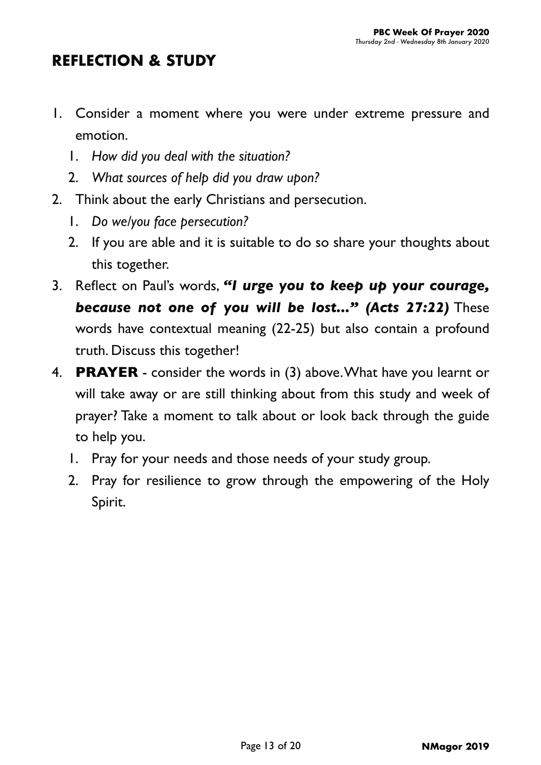- 1. Consider a moment where you were under extreme pressure and emotion.
	- 1. *How did you deal with the situation?*
	- 2. *What sources of help did you draw upon?*
- 2. Think about the early Christians and persecution.
	- 1. *Do we/you face persecution?*
	- 2. If you are able and it is suitable to do so share your thoughts about this together.
- 3. Reflect on Paul's words, *"I urge you to keep up your courage, because not one of you will be lost..." (Acts 27:22)* These words have contextual meaning (22-25) but also contain a profound truth. Discuss this together!
- 4. **PRAYER** consider the words in (3) above. What have you learnt or will take away or are still thinking about from this study and week of prayer? Take a moment to talk about or look back through the guide to help you.
	- 1. Pray for your needs and those needs of your study group.
	- 2. Pray for resilience to grow through the empowering of the Holy Spirit.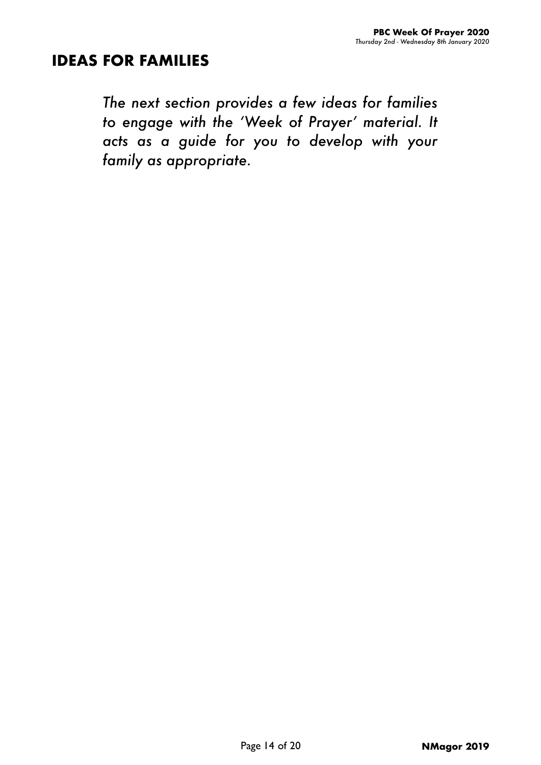#### **IDEAS FOR FAMILIES**

*The next section provides a few ideas for families to engage with the 'Week of Prayer' material. It acts as a guide for you to develop with your family as appropriate.*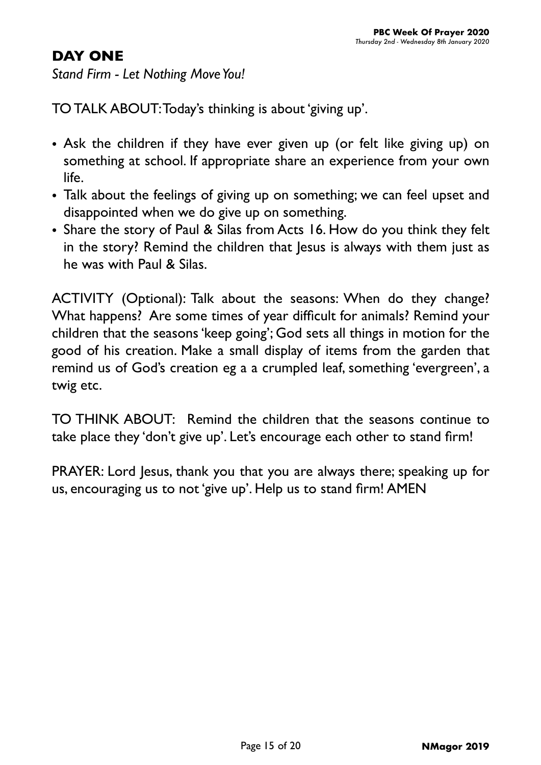#### **DAY ONE**

*Stand Firm - Let Nothing Move You!*

TO TALK ABOUT: Today's thinking is about 'giving up'.

- Ask the children if they have ever given up (or felt like giving up) on something at school. If appropriate share an experience from your own life.
- Talk about the feelings of giving up on something; we can feel upset and disappointed when we do give up on something.
- Share the story of Paul & Silas from Acts 16. How do you think they felt in the story? Remind the children that Jesus is always with them just as he was with Paul & Silas.

ACTIVITY (Optional): Talk about the seasons: When do they change? What happens? Are some times of year difficult for animals? Remind your children that the seasons 'keep going'; God sets all things in motion for the good of his creation. Make a small display of items from the garden that remind us of God's creation eg a a crumpled leaf, something 'evergreen', a twig etc.

TO THINK ABOUT: Remind the children that the seasons continue to take place they 'don't give up'. Let's encourage each other to stand firm!

PRAYER: Lord Jesus, thank you that you are always there; speaking up for us, encouraging us to not 'give up'. Help us to stand firm! AMEN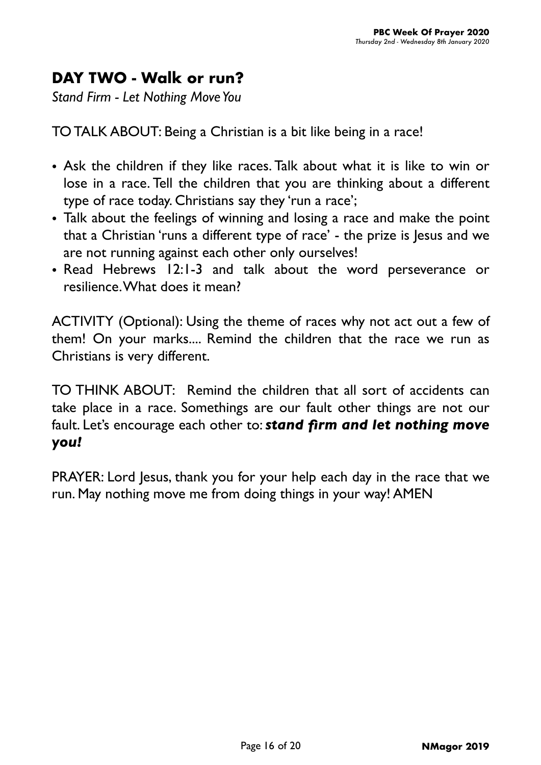# **DAY TWO - Walk or run?**

*Stand Firm - Let Nothing Move You*

TO TALK ABOUT: Being a Christian is a bit like being in a race!

- Ask the children if they like races. Talk about what it is like to win or lose in a race. Tell the children that you are thinking about a different type of race today. Christians say they 'run a race';
- Talk about the feelings of winning and losing a race and make the point that a Christian 'runs a different type of race' - the prize is Jesus and we are not running against each other only ourselves!
- Read Hebrews 12:1-3 and talk about the word perseverance or resilience. What does it mean?

ACTIVITY (Optional): Using the theme of races why not act out a few of them! On your marks.... Remind the children that the race we run as Christians is very different.

TO THINK ABOUT: Remind the children that all sort of accidents can take place in a race. Somethings are our fault other things are not our fault. Let's encourage each other to: *stand firm and let nothing move you!*

PRAYER: Lord Jesus, thank you for your help each day in the race that we run. May nothing move me from doing things in your way! AMEN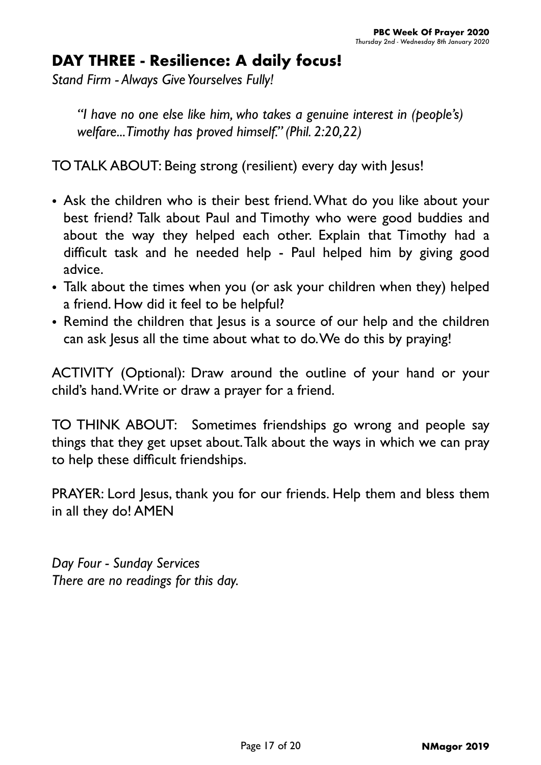# **DAY THREE - Resilience: A daily focus!**

*Stand Firm - Always Give Yourselves Fully!*

*"I have no one else like him, who takes a genuine interest in (people's) welfare... Timothy has proved himself." (Phil. 2:20,22)*

TO TALK ABOUT: Being strong (resilient) every day with Jesus!

- Ask the children who is their best friend. What do you like about your best friend? Talk about Paul and Timothy who were good buddies and about the way they helped each other. Explain that Timothy had a difficult task and he needed help - Paul helped him by giving good advice.
- Talk about the times when you (or ask your children when they) helped a friend. How did it feel to be helpful?
- Remind the children that Jesus is a source of our help and the children can ask Jesus all the time about what to do. We do this by praying!

ACTIVITY (Optional): Draw around the outline of your hand or your child's hand. Write or draw a prayer for a friend.

TO THINK ABOUT: Sometimes friendships go wrong and people say things that they get upset about. Talk about the ways in which we can pray to help these difficult friendships.

PRAYER: Lord Jesus, thank you for our friends. Help them and bless them in all they do! AMEN

*Day Four - Sunday Services There are no readings for this day.*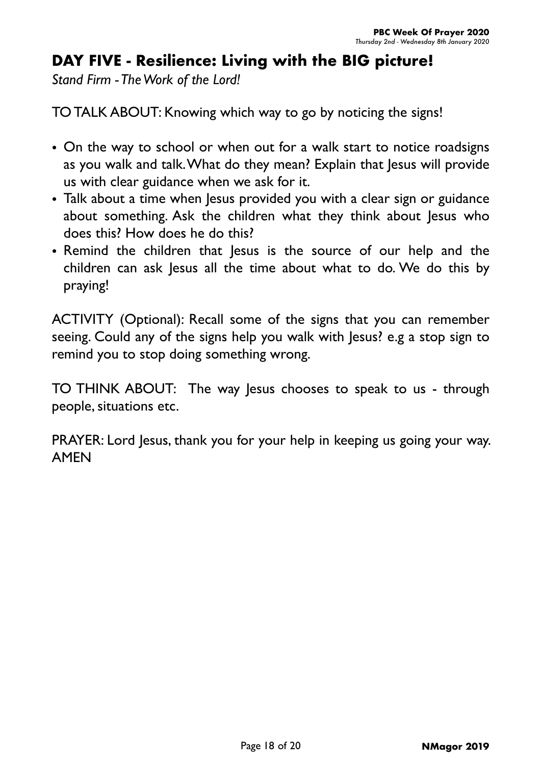## **DAY FIVE - Resilience: Living with the BIG picture!**

*Stand Firm - The Work of the Lord!*

TO TALK ABOUT: Knowing which way to go by noticing the signs!

- On the way to school or when out for a walk start to notice roadsigns as you walk and talk. What do they mean? Explain that Jesus will provide us with clear guidance when we ask for it.
- Talk about a time when Jesus provided you with a clear sign or guidance about something. Ask the children what they think about Jesus who does this? How does he do this?
- Remind the children that Jesus is the source of our help and the children can ask Jesus all the time about what to do. We do this by praying!

ACTIVITY (Optional): Recall some of the signs that you can remember seeing. Could any of the signs help you walk with Jesus? e.g a stop sign to remind you to stop doing something wrong.

TO THINK ABOUT: The way lesus chooses to speak to us - through people, situations etc.

PRAYER: Lord Jesus, thank you for your help in keeping us going your way. AMEN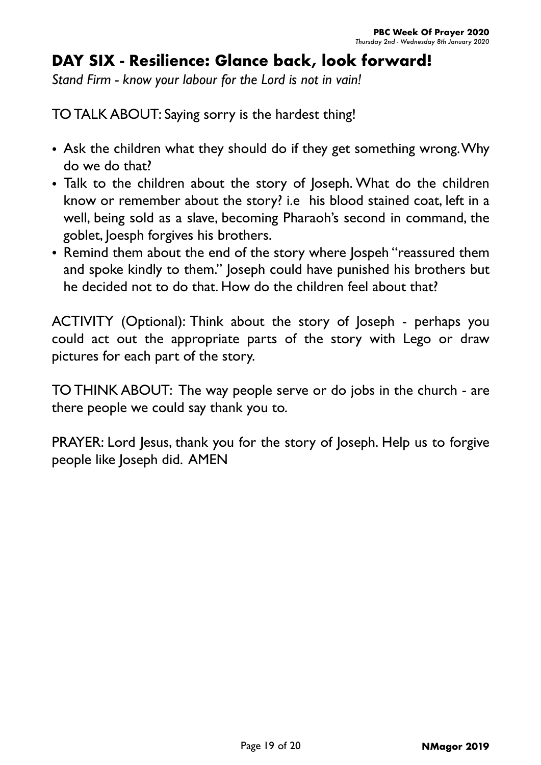# **DAY SIX - Resilience: Glance back, look forward!**

*Stand Firm - know your labour for the Lord is not in vain!*

TO TALK ABOUT: Saying sorry is the hardest thing!

- Ask the children what they should do if they get something wrong. Why do we do that?
- Talk to the children about the story of Joseph. What do the children know or remember about the story? i.e his blood stained coat, left in a well, being sold as a slave, becoming Pharaoh's second in command, the goblet, Joesph forgives his brothers.
- Remind them about the end of the story where Jospeh "reassured them and spoke kindly to them." Joseph could have punished his brothers but he decided not to do that. How do the children feel about that?

ACTIVITY (Optional): Think about the story of Joseph - perhaps you could act out the appropriate parts of the story with Lego or draw pictures for each part of the story.

TO THINK ABOUT: The way people serve or do jobs in the church - are there people we could say thank you to.

PRAYER: Lord Jesus, thank you for the story of Joseph. Help us to forgive people like Joseph did. AMEN